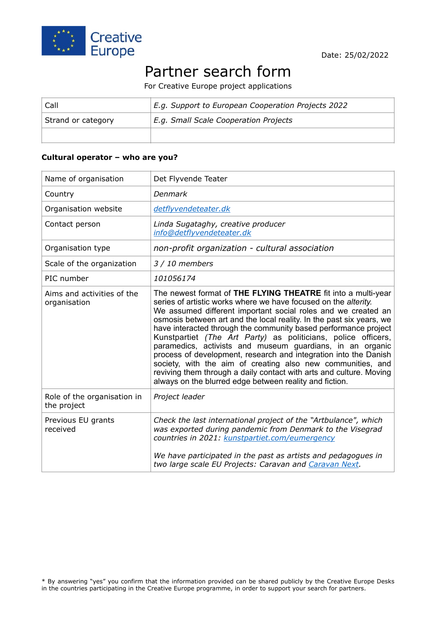

# Partner search form

For Creative Europe project applications

| Call               | E.g. Support to European Cooperation Projects 2022 |
|--------------------|----------------------------------------------------|
| Strand or category | E.g. Small Scale Cooperation Projects              |
|                    |                                                    |

#### **Cultural operator – who are you?**

| Name of organisation                       | Det Flyvende Teater                                                                                                                                                                                                                                                                                                                                                                                                                                                                                                                                                                                                                                                                                                                             |
|--------------------------------------------|-------------------------------------------------------------------------------------------------------------------------------------------------------------------------------------------------------------------------------------------------------------------------------------------------------------------------------------------------------------------------------------------------------------------------------------------------------------------------------------------------------------------------------------------------------------------------------------------------------------------------------------------------------------------------------------------------------------------------------------------------|
| Country                                    | Denmark                                                                                                                                                                                                                                                                                                                                                                                                                                                                                                                                                                                                                                                                                                                                         |
| Organisation website                       | detflyvendeteater.dk                                                                                                                                                                                                                                                                                                                                                                                                                                                                                                                                                                                                                                                                                                                            |
| Contact person                             | Linda Sugataghy, creative producer<br>info@detflyvendeteater.dk                                                                                                                                                                                                                                                                                                                                                                                                                                                                                                                                                                                                                                                                                 |
| Organisation type                          | non-profit organization - cultural association                                                                                                                                                                                                                                                                                                                                                                                                                                                                                                                                                                                                                                                                                                  |
| Scale of the organization                  | $3/10$ members                                                                                                                                                                                                                                                                                                                                                                                                                                                                                                                                                                                                                                                                                                                                  |
| PIC number                                 | 101056174                                                                                                                                                                                                                                                                                                                                                                                                                                                                                                                                                                                                                                                                                                                                       |
| Aims and activities of the<br>organisation | The newest format of THE FLYING THEATRE fit into a multi-year<br>series of artistic works where we have focused on the alterity.<br>We assumed different important social roles and we created an<br>osmosis between art and the local reality. In the past six years, we<br>have interacted through the community based performance project<br>Kunstpartiet (The Art Party) as politicians, police officers,<br>paramedics, activists and museum guardians, in an organic<br>process of development, research and integration into the Danish<br>society, with the aim of creating also new communities, and<br>reviving them through a daily contact with arts and culture. Moving<br>always on the blurred edge between reality and fiction. |
| Role of the organisation in<br>the project | Project leader                                                                                                                                                                                                                                                                                                                                                                                                                                                                                                                                                                                                                                                                                                                                  |
| Previous EU grants<br>received             | Check the last international project of the "Artbulance", which<br>was exported during pandemic from Denmark to the Visegrad<br>countries in 2021: kunstpartiet.com/eumergency<br>We have participated in the past as artists and pedagogues in<br>two large scale EU Projects: Caravan and Caravan Next.                                                                                                                                                                                                                                                                                                                                                                                                                                       |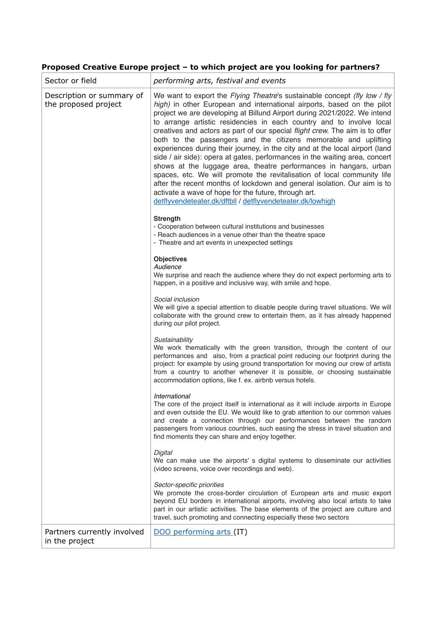## **Proposed Creative Europe project – to which project are you looking for partners?**

| Sector or field                                   | performing arts, festival and events                                                                                                                                                                                                                                                                                                                                                                                                                                                                                                                                                                                                                                                                                                                                                                                                                                                                                                                                        |
|---------------------------------------------------|-----------------------------------------------------------------------------------------------------------------------------------------------------------------------------------------------------------------------------------------------------------------------------------------------------------------------------------------------------------------------------------------------------------------------------------------------------------------------------------------------------------------------------------------------------------------------------------------------------------------------------------------------------------------------------------------------------------------------------------------------------------------------------------------------------------------------------------------------------------------------------------------------------------------------------------------------------------------------------|
| Description or summary of<br>the proposed project | We want to export the Flying Theatre's sustainable concept (fly low / fly<br>high) in other European and international airports, based on the pilot<br>project we are developing at Billund Airport during 2021/2022. We intend<br>to arrange artistic residencies in each country and to involve local<br>creatives and actors as part of our special flight crew. The aim is to offer<br>both to the passengers and the citizens memorable and uplifting<br>experiences during their journey, in the city and at the local airport (land<br>side / air side): opera at gates, performances in the waiting area, concert<br>shows at the luggage area, theatre performances in hangars, urban<br>spaces, etc. We will promote the revitalisation of local community life<br>after the recent months of lockdown and general isolation. Our aim is to<br>activate a wave of hope for the future, through art.<br>detflyvendeteater.dk/dftbll / detflyvendeteater.dk/lowhigh |
|                                                   | <b>Strength</b><br>- Cooperation between cultural institutions and businesses<br>- Reach audiences in a venue other than the theatre space<br>- Theatre and art events in unexpected settings                                                                                                                                                                                                                                                                                                                                                                                                                                                                                                                                                                                                                                                                                                                                                                               |
|                                                   | <b>Objectives</b><br>Audience<br>We surprise and reach the audience where they do not expect performing arts to<br>happen, in a positive and inclusive way, with smile and hope.                                                                                                                                                                                                                                                                                                                                                                                                                                                                                                                                                                                                                                                                                                                                                                                            |
|                                                   | Social inclusion<br>We will give a special attention to disable people during travel situations. We will<br>collaborate with the ground crew to entertain them, as it has already happened<br>during our pilot project.                                                                                                                                                                                                                                                                                                                                                                                                                                                                                                                                                                                                                                                                                                                                                     |
|                                                   | Sustainability<br>We work thematically with the green transition, through the content of our<br>performances and also, from a practical point reducing our footprint during the<br>project: for example by using ground transportation for moving our crew of artists<br>from a country to another whenever it is possible, or choosing sustainable<br>accommodation options, like f. ex. airbnb versus hotels.                                                                                                                                                                                                                                                                                                                                                                                                                                                                                                                                                             |
|                                                   | International<br>The core of the project itself is international as it will include airports in Europe<br>and even outside the EU. We would like to grab attention to our common values<br>and create a connection through our performances between the random<br>passengers from various countries, such easing the stress in travel situation and<br>find moments they can share and enjoy together.                                                                                                                                                                                                                                                                                                                                                                                                                                                                                                                                                                      |
|                                                   | Digital<br>We can make use the airports' s digital systems to disseminate our activities<br>(video screens, voice over recordings and web).                                                                                                                                                                                                                                                                                                                                                                                                                                                                                                                                                                                                                                                                                                                                                                                                                                 |
|                                                   | Sector-specific priorities<br>We promote the cross-border circulation of European arts and music export<br>beyond EU borders in international airports, involving also local artists to take<br>part in our artistic activities. The base elements of the project are culture and<br>travel, such promoting and connecting especially these two sectors                                                                                                                                                                                                                                                                                                                                                                                                                                                                                                                                                                                                                     |
| Partners currently involved<br>in the project     | DOO performing arts (IT)                                                                                                                                                                                                                                                                                                                                                                                                                                                                                                                                                                                                                                                                                                                                                                                                                                                                                                                                                    |